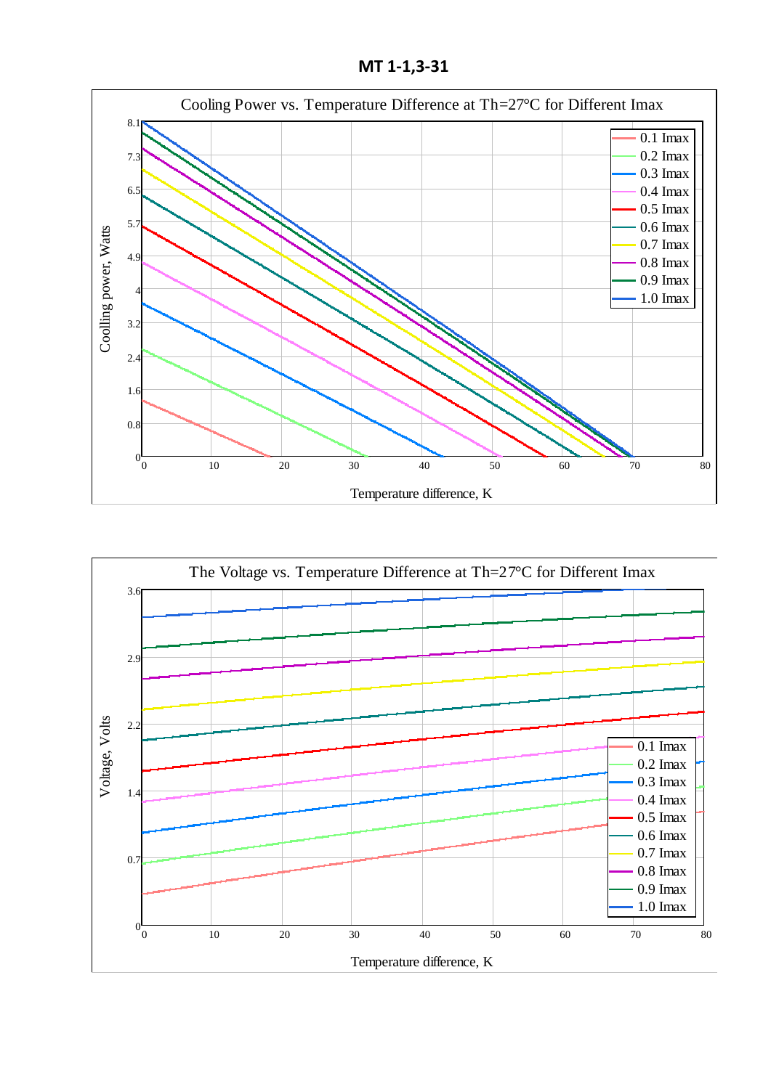**МТ 1-1,3-31**